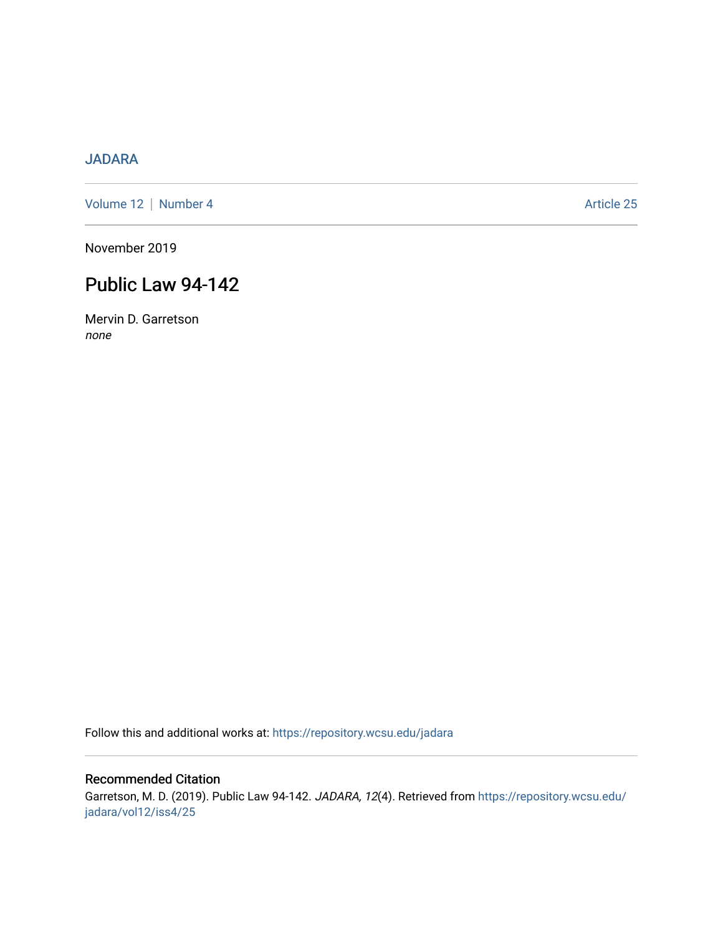# [JADARA](https://repository.wcsu.edu/jadara)

[Volume 12](https://repository.wcsu.edu/jadara/vol12) | [Number 4](https://repository.wcsu.edu/jadara/vol12/iss4) Article 25

November 2019

# Public Law 94-142

Mervin D. Garretson none

Follow this and additional works at: [https://repository.wcsu.edu/jadara](https://repository.wcsu.edu/jadara?utm_source=repository.wcsu.edu%2Fjadara%2Fvol12%2Fiss4%2F25&utm_medium=PDF&utm_campaign=PDFCoverPages)

## Recommended Citation

Garretson, M. D. (2019). Public Law 94-142. JADARA, 12(4). Retrieved from [https://repository.wcsu.edu/](https://repository.wcsu.edu/jadara/vol12/iss4/25?utm_source=repository.wcsu.edu%2Fjadara%2Fvol12%2Fiss4%2F25&utm_medium=PDF&utm_campaign=PDFCoverPages) [jadara/vol12/iss4/25](https://repository.wcsu.edu/jadara/vol12/iss4/25?utm_source=repository.wcsu.edu%2Fjadara%2Fvol12%2Fiss4%2F25&utm_medium=PDF&utm_campaign=PDFCoverPages)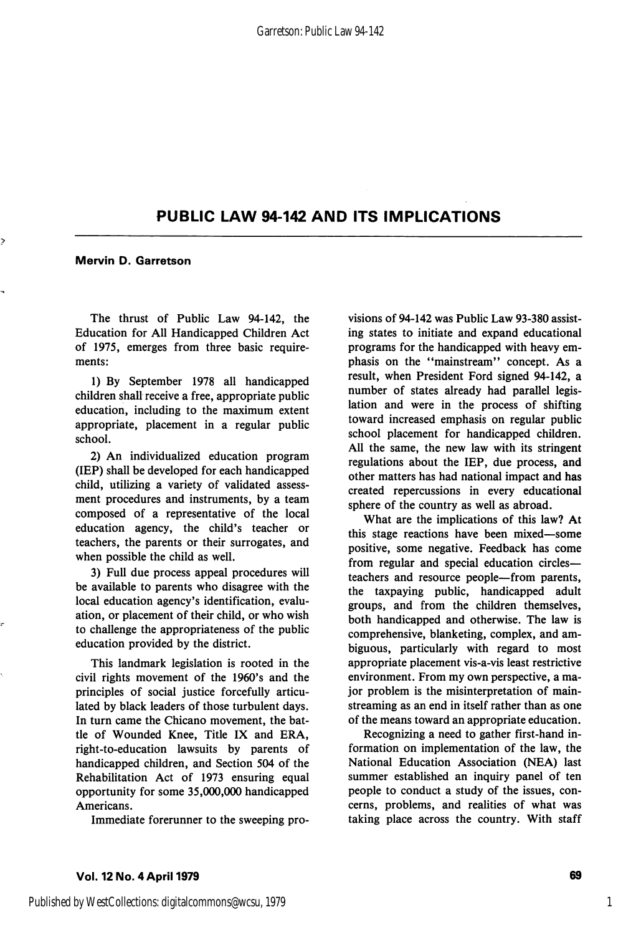## PUBLIC LAW 94-142 AND ITS IMPLICATIONS

Mervin D. Garretson

The thrust of Public Law 94-142, the Education for All Handicapped Children Act of 1975, emerges from three basic require ments:

1) By September 1978 all handicapped children shall receive a free, appropriate public education, including to the maximum extent appropriate, placement in a regular public school.

2) An individualized education program (IE?) shall be developed for each handicapped child, utilizing a variety of validated assess ment procedures and instruments, by a team composed of a representative of the local education agency, the child's teacher or teachers, the parents or their surrogates, and when possible the child as well.

3) Full due process appeal procedures will be available to parents who disagree with the local education agency's identification, evalu ation, or placement of their child, or who wish to challenge the appropriateness of the public education provided by the district.

This landmark legislation is rooted in the civil rights movement of the 1960's and the principles of social justice forcefully articu lated by black leaders of those turbulent days. In turn came the Chicano movement, the bat tle of Wounded Knee, Title IX and ERA, right-to-education lawsuits by parents of handicapped children, and Section 504 of the Rehabilitation Act of 1973 ensuring equal opportunity for some 35,000,000 handicapped Americans.

Immediate forerunner to the sweeping pro

visions of 94-142 was Public Law 93-380 assist ing states to initiate and expand educational programs for the handicapped with heavy em phasis on the "mainstream" concept. As a result, when President Ford signed 94-142, a number of states already had parallel legis lation and were in the process of shifting toward increased emphasis on regular public school placement for handicapped children. All the same, the new law with its stringent regulations about the lEP, due process, and other matters has had national impact and has created repercussions in every educational sphere of the country as well as abroad.

What are the implications of this law? At this stage reactions have been mixed—some positive, some negative. Feedback has come from regular and special education circles teachers and resource people—from parents, the taxpaying public, handicapped adult groups, and from the children themselves, both handicapped and otherwise. The law is comprehensive, blanketing, complex, and am biguous, particularly with regard to most appropriate placement vis-a-vis least restrictive environment. From my own perspective, a ma jor problem is the misinterpretation of mainstreaming as an end in itself rather than as one of the means toward an appropriate education.

Recognizing a need to gather first-hand in formation on implementation of the law, the National Education Association (NEA) last summer established an inquiry panel of ten people to conduct a study of the issues, con cerns, problems, and realities of what was taking place across the country. With staff

1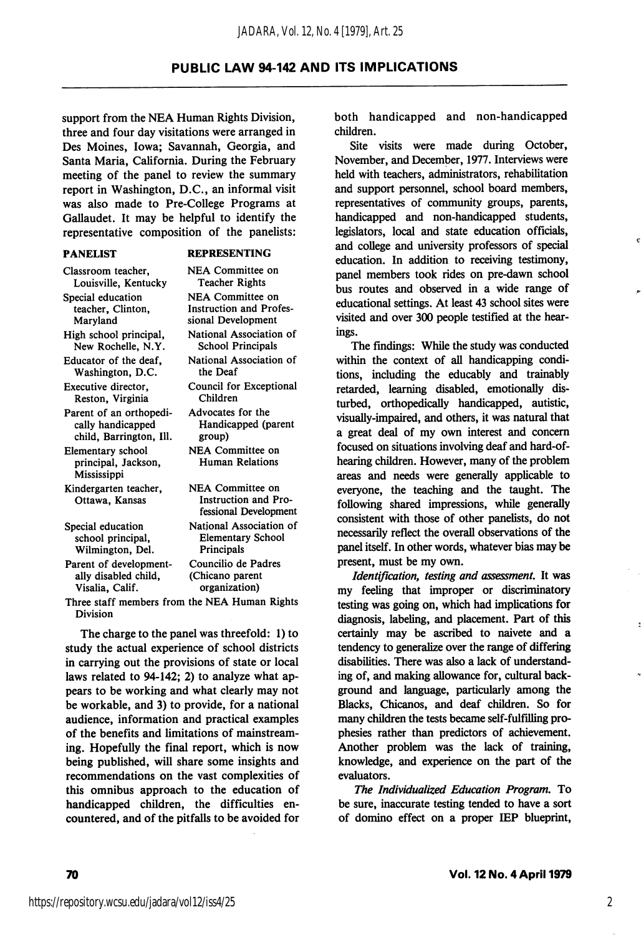### PUBLIC LAW 94-142 AND ITS IMPLICATIONS

support from the NEA Human Rights Division, three and four day visitations were arranged in Des Moines, Iowa; Savannah, Georgia, and Santa Maria, California. During the February meeting of the panel to review the summary report in Washington, D.C., an informal visit was also made to Pre-College Programs at Gallaudet. It may be helpful to identify the representative composition of the panelists:

| <b>REPRESENTING</b> |
|---------------------|
|---------------------|

| Classroom teacher.                                             | NEA Committee on                                                  |
|----------------------------------------------------------------|-------------------------------------------------------------------|
| Louisville, Kentucky                                           | <b>Teacher Rights</b>                                             |
| Special education                                              | <b>NEA Committee on</b>                                           |
| teacher, Clinton,                                              | <b>Instruction and Profes-</b>                                    |
| Maryland                                                       | sional Development                                                |
| High school principal,                                         | National Association of                                           |
| New Rochelle, N.Y.                                             | <b>School Principals</b>                                          |
| Educator of the deaf,                                          | National Association of                                           |
| Washington, D.C.                                               | the Deaf                                                          |
| Executive director,                                            | Council for Exceptional                                           |
| Reston, Virginia                                               | Children                                                          |
| Parent of an orthopedi-                                        | Advocates for the                                                 |
| cally handicapped                                              | Handicapped (parent                                               |
| child, Barrington, Ill.                                        | group)                                                            |
| Elementary school<br>principal, Jackson,<br><b>Mississippi</b> | NEA Committee on<br><b>Human Relations</b>                        |
| Kindergarten teacher,<br>Ottawa, Kansas                        | NEA Committee on<br>Instruction and Pro-<br>fessional Development |
| Special education                                              | National Association of                                           |
| school principal,                                              | <b>Elementary School</b>                                          |
| Wilmington, Del.                                               | Principals                                                        |
| Parent of development-                                         | Councilio de Padres                                               |
| ally disabled child,                                           | (Chicano parent                                                   |
| Visalia, Calif.                                                | organization)                                                     |
|                                                                |                                                                   |

Three staff members from the NEA Human Rights Division

The charge to the panel was threefold: 1) to study the actual experience of school districts in carrying out the provisions of state or local laws related to 94-142; 2) to analyze what ap pears to be working and what clearly may not be workable, and 3) to provide, for a national audience, information and practical examples of the benefits and limitations of mainstreaming. Hopefully the final report, which is now being published, will share some insights and recommendations on the vast complexities of this omnibus approach to the education of handicapped children, the difficulties en countered, and of the pitfalls to be avoided for

both handicapped and non-handicapped children.

Site visits were made during October, November, and December, 1977. Interviews were held with teachers, administrators, rehabilitation and support personnel, school board members, representatives of community groups, parents, handicapped and non-handicapped students, legislators, local and state education officials, and college and university professors of special education. In addition to receiving testimony, panel members took rides on pre-dawn school bus routes and observed in a wide range of educational settings. At least 43 school sites were visited and over 300 people testified at the hearings.

The findings: While the study was conducted within the context of all handicapping condi tions, including the educably and trainably retarded, learning disabled, emotionally dis turbed, orthopedically handicapped, autistic, visually-impaired, and others, it was natural that a great deal of my own interest and concern focused on situations involving deaf and hard-ofhearing children. However, many of the problem areas and needs were generally applicable to everyone, the teaching and the taught. The following shared impressions, while generally consistent with those of other panelists, do not necessarily reflect the overall observations of the panel itself. In other words, whatever bias may be present, must be my own.

Identification, testing and assessment. It was my feeling that improper or discriminatory testing was going on, which had implications for diagnosis, labeling, and placement. Part of this certainly may be ascribed to naivete and a tendency to generalize over the range of differing disabilities. There was also a lack of understand ing of, and making allowance for, cultural back ground and language, particularly among the Blacks, Chicanos, and deaf children. So for many children the tests became self-fulfilling pro phesies rather than predictors of achievement. Another problem was the lack of training, knowledge, and experience on the part of the evaluators.

The Individualized Education Program. To be sure, inaccurate testing tended to have a sort of domino effect on a proper IEP blueprint,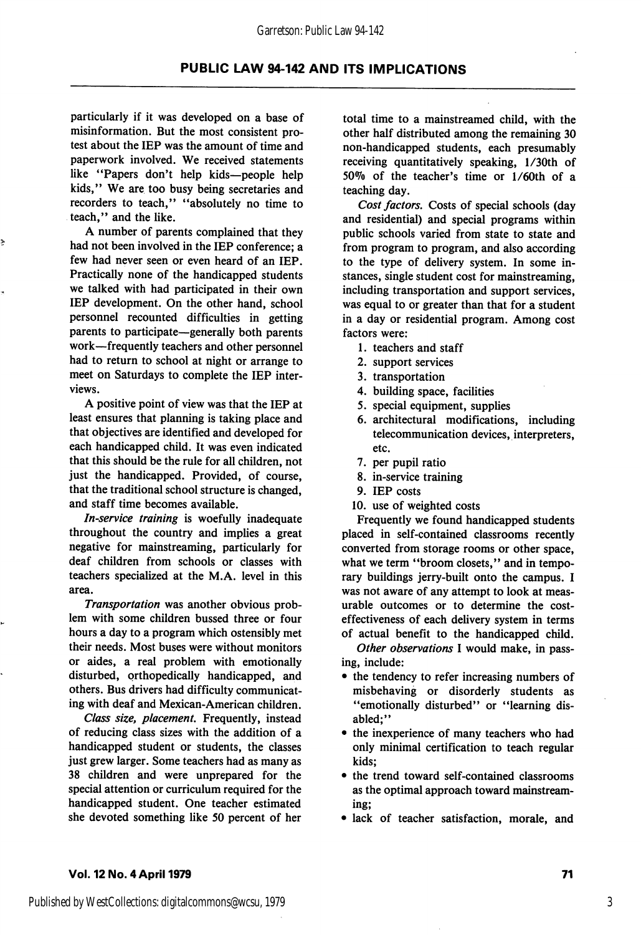#### Garretson: Public Law 94-142

### PUBLIC LAW 94-142 AND ITS IMPLICATIONS

particularly if it was developed on a base of misinformation. But the most consistent pro test about the lEP was the amount of time and paperwork involved. We received statements like "Papers don't help kids—people help kids," We are too busy being secretaries and recorders to teach," ''absolutely no time to teach," and the like.

A number of parents complained that they had not been involved in the lEP conference; a few had never seen or even heard of an lEP. Practically none of the handicapped students we talked with had participated in their own lEP development. On the other hand, school personnel recounted difficulties in getting parents to participate—generally both parents work—frequently teachers and other personnel had to return to school at night or arrange to meet on Saturdays to complete the lEP inter views.

A positive point of view was that the lEP at least ensures that planning is taking place and that objectives are identified and developed for each handicapped child. It was even indicated that this should be the rule for all children, not just the handicapped. Provided, of course, that the traditional school structure is changed, and staff time becomes available.

In-service training is woefully inadequate throughout the country and implies a great negative for mainstreaming, particularly for deaf children from schools or classes with teachers specialized at the M.A. level in this area.

Transportation was another obvious problem with some children bussed three or four hours a day to a program which ostensibly met their needs. Most buses were without monitors or aides, a real problem with emotionally disturbed, orthopedically handicapped, and others. Bus drivers had difficulty communicat ing with deaf and Mexican-American children.

Class size, placement. Frequently, instead of reducing class sizes with the addition of a handicapped student or students, the classes just grew larger. Some teachers had as many as 38 children and were unprepared for the special attention or curriculum required for the handicapped student. One teacher estimated she devoted something like 50 percent of her

total time to a mainstreamed child, with the other half distributed among the remaining 30 non-handicapped students, each presumably receiving quantitatively speaking, l/30th of 50% of the teacher's time or  $1/60$ th of a teaching day.

Cost factors. Costs of special schools (day and residential) and special programs within public schools varied from state to state and from program to program, and also according to the type of delivery system. In some in stances, single student cost for mainstreaming, including transportation and support services, was equal to or greater than that for a student in a day or residential program. Among cost factors were:

- 1. teachers and staff
- 2. support services
- 3. transportation
- 4. building space, facilities
- 5. special equipment, supplies
- 6. architectural modifications, including telecommunication devices, interpreters, etc.
- 7. per pupil ratio
- 8. in-service training
- 9. lEP costs
- 10. use of weighted costs

Frequently we found handicapped students placed in self-contained classrooms recently converted from storage rooms or other space, what we term "broom closets," and in temporary buildings jerry-built onto the campus. I was not aware of any attempt to look at meas urable outcomes or to determine the costeffectiveness of each delivery system in terms of actual benefit to the handicapped child.

Other observations I would make, in passing, include:

- the tendency to refer increasing numbers of misbehaving or disorderly students as "emotionally disturbed" or "learning disabled;"
- the inexperience of many teachers who had only minimal certification to teach regular kids;
- the trend toward self-contained classrooms as the optimal approach toward mainstream ing;
- lack of teacher satisfaction, morale, and

#### Vol. 12 No. 4 April 1979 71